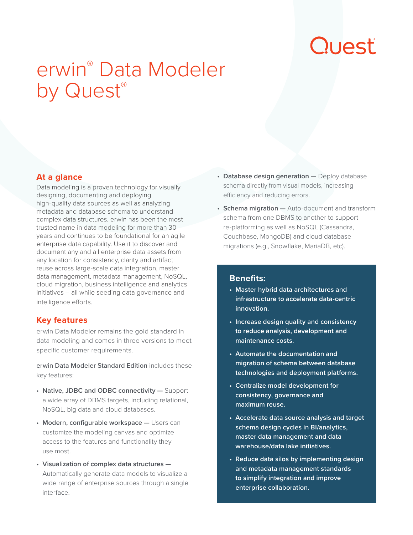# Quest

# erwin® Data Modeler by Quest®

### **At a glance**

Data modeling is a proven technology for visually designing, documenting and deploying high-quality data sources as well as analyzing metadata and database schema to understand complex data structures. erwin has been the most trusted name in data modeling for more than 30 years and continues to be foundational for an agile enterprise data capability. Use it to discover and document any and all enterprise data assets from any location for consistency, clarity and artifact reuse across large-scale data integration, master data management, metadata management, NoSQL, cloud migration, business intelligence and analytics initiatives – all while seeding data governance and intelligence efforts.

### **Key features**

erwin Data Modeler remains the gold standard in data modeling and comes in three versions to meet specific customer requirements.

erwin Data Modeler Standard Edition includes these key features:

- **Native, JDBC and ODBC connectivity —** Support a wide array of DBMS targets, including relational, NoSQL, big data and cloud databases.
- **Modern, configurable workspace —** Users can customize the modeling canvas and optimize access to the features and functionality they use most.
- **Visualization of complex data structures —** Automatically generate data models to visualize a wide range of enterprise sources through a single interface.
- **Database design generation —** Deploy database schema directly from visual models, increasing efficiency and reducing errors.
- **Schema migration —** Auto-document and transform schema from one DBMS to another to support re-platforming as well as NoSQL (Cassandra, Couchbase, MongoDB) and cloud database migrations (e.g., Snowflake, MariaDB, etc).

#### **Benefits:**

- **• Master hybrid data architectures and infrastructure to accelerate data-centric innovation.**
- **• Increase design quality and consistency to reduce analysis, development and maintenance costs.**
- **• Automate the documentation and migration of schema between database technologies and deployment platforms.**
- **• Centralize model development for consistency, governance and maximum reuse.**
- **• Accelerate data source analysis and target schema design cycles in BI/analytics, master data management and data warehouse/data lake initiatives.**
- **• Reduce data silos by implementing design and metadata management standards to simplify integration and improve enterprise collaboration.**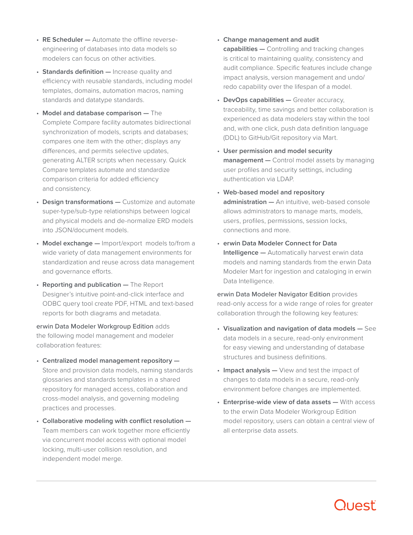- **RE Scheduler —** Automate the offline reverseengineering of databases into data models so modelers can focus on other activities.
- **Standards definition —** Increase quality and efficiency with reusable standards, including model templates, domains, automation macros, naming standards and datatype standards.
- **Model and database comparison —** The Complete Compare facility automates bidirectional synchronization of models, scripts and databases; compares one item with the other; displays any differences, and permits selective updates, generating ALTER scripts when necessary. Quick Compare templates automate and standardize comparison criteria for added efficiency and consistency.
- **Design transformations —** Customize and automate super-type/sub-type relationships between logical and physical models and de-normalize ERD models into JSON/document models.
- **Model exchange —** Import/export models to/from a wide variety of data management environments for standardization and reuse across data management and governance efforts.
- **Reporting and publication —** The Report Designer's intuitive point-and-click interface and ODBC query tool create PDF, HTML and text-based reports for both diagrams and metadata.

erwin Data Modeler Workgroup Edition adds the following model management and modeler collaboration features:

- **Centralized model management repository —** Store and provision data models, naming standards glossaries and standards templates in a shared repository for managed access, collaboration and cross-model analysis, and governing modeling practices and processes.
- **Collaborative modeling with conflict resolution —** Team members can work together more efficiently via concurrent model access with optional model locking, multi-user collision resolution, and independent model merge.
- **Change management and audit capabilities —** Controlling and tracking changes is critical to maintaining quality, consistency and audit compliance. Specific features include change impact analysis, version management and undo/ redo capability over the lifespan of a model.
- **DevOps capabilities —** Greater accuracy, traceability, time savings and better collaboration is experienced as data modelers stay within the tool and, with one click, push data definition language (DDL) to GitHub/Git repository via Mart.
- **User permission and model security management —** Control model assets by managing user profiles and security settings, including authentication via LDAP.
- **Web-based model and repository administration —** An intuitive, web-based console allows administrators to manage marts, models, users, profiles, permissions, session locks, connections and more.
- **erwin Data Modeler Connect for Data Intelligence —** Automatically harvest erwin data models and naming standards from the erwin Data Modeler Mart for ingestion and cataloging in erwin Data Intelligence.

erwin Data Modeler Navigator Edition provides read-only access for a wide range of roles for greater collaboration through the following key features:

- **Visualization and navigation of data models —** See data models in a secure, read-only environment for easy viewing and understanding of database structures and business definitions.
- **Impact analysis —** View and test the impact of changes to data models in a secure, read-only environment before changes are implemented.
- **Enterprise-wide view of data assets —** With access to the erwin Data Modeler Workgroup Edition model repository, users can obtain a central view of all enterprise data assets.